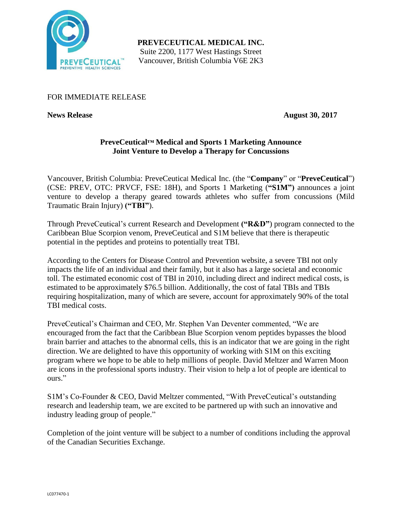

**PREVECEUTICAL MEDICAL INC.** Suite 2200, 1177 West Hastings Street Vancouver, British Columbia V6E 2K3

# FOR IMMEDIATE RELEASE

**News Release August 30, 2017**

# **PreveCeutical™ Medical and Sports 1 Marketing Announce Joint Venture to Develop a Therapy for Concussions**

Vancouver, British Columbia: PreveCeutical Medical Inc. (the "**Company**" or "**PreveCeutical**") (CSE: PREV, OTC: PRVCF, FSE: 18H), and Sports 1 Marketing (**"S1M")** announces a joint venture to develop a therapy geared towards athletes who suffer from concussions (Mild Traumatic Brain Injury) **("TBI"**).

Through PreveCeutical's current Research and Development **("R&D"**) program connected to the Caribbean Blue Scorpion venom, PreveCeutical and S1M believe that there is therapeutic potential in the peptides and proteins to potentially treat TBI.

According to the Centers for Disease Control and Prevention website, a severe TBI not only impacts the life of an individual and their family, but it also has a large societal and economic toll. The estimated economic cost of TBI in 2010, including direct and indirect medical costs, is estimated to be approximately \$76.5 billion. Additionally, the cost of fatal TBIs and TBIs requiring hospitalization, many of which are severe, account for approximately 90% of the total TBI medical costs.

PreveCeutical's Chairman and CEO, Mr. Stephen Van Deventer commented, "We are encouraged from the fact that the Caribbean Blue Scorpion venom peptides bypasses the blood brain barrier and attaches to the abnormal cells, this is an indicator that we are going in the right direction. We are delighted to have this opportunity of working with S1M on this exciting program where we hope to be able to help millions of people. David Meltzer and Warren Moon are icons in the professional sports industry. Their vision to help a lot of people are identical to ours."

S1M's Co-Founder & CEO, David Meltzer commented, "With PreveCeutical's outstanding research and leadership team, we are excited to be partnered up with such an innovative and industry leading group of people."

Completion of the joint venture will be subject to a number of conditions including the approval of the Canadian Securities Exchange.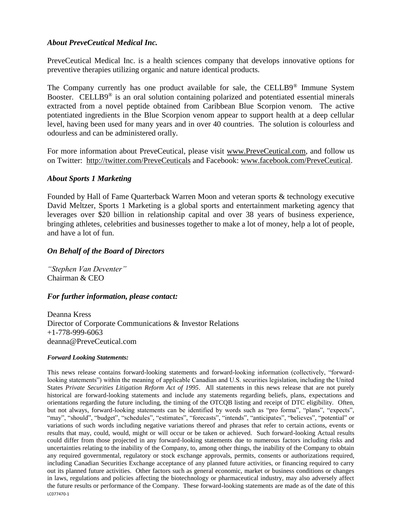## *About PreveCeutical Medical Inc.*

PreveCeutical Medical Inc. is a health sciences company that develops innovative options for preventive therapies utilizing organic and nature identical products.

The Company currently has one product available for sale, the CELLB9® Immune System Booster. CELLB9<sup>®</sup> is an oral solution containing polarized and potentiated essential minerals extracted from a novel peptide obtained from Caribbean Blue Scorpion venom. The active potentiated ingredients in the Blue Scorpion venom appear to support health at a deep cellular level, having been used for many years and in over 40 countries. The solution is colourless and odourless and can be administered orally.

For more information about PreveCeutical, please visit www.PreveCeutical.com, and follow us on Twitter: http://twitter.com/PreveCeuticals and Facebook: www.facebook.com/PreveCeutical.

### *About Sports 1 Marketing*

Founded by Hall of Fame Quarterback Warren Moon and veteran sports & technology executive David Meltzer, Sports 1 Marketing is a global sports and entertainment marketing agency that leverages over \$20 billion in relationship capital and over 38 years of business experience, bringing athletes, celebrities and businesses together to make a lot of money, help a lot of people, and have a lot of fun.

## *On Behalf of the Board of Directors*

*"Stephen Van Deventer"* Chairman & CEO

#### *For further information, please contact:*

Deanna Kress Director of Corporate Communications & Investor Relations +1-778-999-6063 deanna@PreveCeutical.com

#### *Forward Looking Statements:*

LC077470-1 This news release contains forward-looking statements and forward-looking information (collectively, "forwardlooking statements") within the meaning of applicable Canadian and U.S. securities legislation, including the United States *Private Securities Litigation Reform Act of 1995*. All statements in this news release that are not purely historical are forward-looking statements and include any statements regarding beliefs, plans, expectations and orientations regarding the future including, the timing of the OTCQB listing and receipt of DTC eligibility. Often, but not always, forward-looking statements can be identified by words such as "pro forma", "plans", "expects", "may", "should", "budget", "schedules", "estimates", "forecasts", "intends", "anticipates", "believes", "potential" or variations of such words including negative variations thereof and phrases that refer to certain actions, events or results that may, could, would, might or will occur or be taken or achieved. Such forward-looking Actual results could differ from those projected in any forward-looking statements due to numerous factors including risks and uncertainties relating to the inability of the Company, to, among other things, the inability of the Company to obtain any required governmental, regulatory or stock exchange approvals, permits, consents or authorizations required, including Canadian Securities Exchange acceptance of any planned future activities, or financing required to carry out its planned future activities. Other factors such as general economic, market or business conditions or changes in laws, regulations and policies affecting the biotechnology or pharmaceutical industry, may also adversely affect the future results or performance of the Company. These forward-looking statements are made as of the date of this